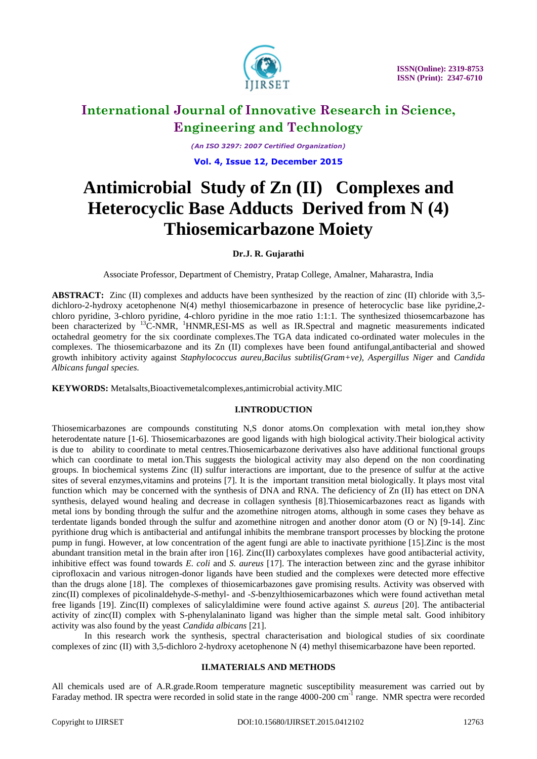

*(An ISO 3297: 2007 Certified Organization)*

**Vol. 4, Issue 12, December 2015**

# **Antimicrobial Study of Zn (II) Complexes and Heterocyclic Base Adducts Derived from N (4) Thiosemicarbazone Moiety**

#### **Dr.J. R. Gujarathi**

Associate Professor, Department of Chemistry, Pratap College, Amalner, Maharastra, India

**ABSTRACT:** Zinc (II) complexes and adducts have been synthesized by the reaction of zinc (II) chloride with 3,5dichloro-2-hydroxy acetophenone N(4) methyl thiosemicarbazone in presence of heterocyclic base like pyridine,2 chloro pyridine, 3-chloro pyridine, 4-chloro pyridine in the moe ratio 1:1:1. The synthesized thiosemcarbazone has been characterized by <sup>13</sup>C-NMR, <sup>1</sup>HNMR, ESI-MS as well as IR. Spectral and magnetic measurements indicated octahedral geometry for the six coordinate complexes.The TGA data indicated co-ordinated water molecules in the complexes. The thiosemicarbazone and its Zn (II) complexes have been found antifungal,antibacterial and showed growth inhibitory activity against *Staphylococcus aureu,Bacilus subtilis(Gram+ve), Aspergillus Niger* and *Candida Albicans fungal species.*

**KEYWORDS:** Metalsalts,Bioactivemetalcomplexes,antimicrobial activity.MIC

#### **I.INTRODUCTION**

Thiosemicarbazones are compounds constituting N,S donor atoms.On complexation with metal ion,they show heterodentate nature [1-6]. Thiosemicarbazones are good ligands with high biological activity.Their biological activity is due to ability to coordinate to metal centres.Thiosemicarbazone derivatives also have additional functional groups which can coordinate to metal ion. This suggests the biological activity may also depend on the non coordinating groups. In biochemical systems Zinc (lI) sulfur interactions are important, due to the presence of sulfur at the active sites of several enzymes,vitamins and proteins [7]. It is the important transition metal biologically. It plays most vital function which may be concerned with the synthesis of DNA and RNA. The deficiency of Zn (II) has ettect on DNA synthesis, delayed wound healing and decrease in collagen synthesis [8].Thiosemicarbazones react as ligands with metal ions by bonding through the sulfur and the azomethine nitrogen atoms, although in some cases they behave as terdentate ligands bonded through the sulfur and azomethine nitrogen and another donor atom (O or N) [9-14]. Zinc pyrithione drug which is antibacterial and antifungal inhibits the membrane transport processes by blocking the protone pump in fungi. However, at low concentration of the agent fungi are able to inactivate pyrithione [15].Zinc is the most abundant transition metal in the brain after iron [16]. Zinc(II) carboxylates complexes have good antibacterial activity, inhibitive effect was found towards *E. coli* and *S. aureus* [17]. The interaction between zinc and the gyrase inhibitor ciprofloxacin and various nitrogen-donor ligands have been studied and the complexes were detected more effective than the drugs alone [18]. The complexes of thiosemicarbazones gave promising results. Activity was observed with zinc(II) complexes of picolinaldehyde-*S*-methyl- and -*S*-benzylthiosemicarbazones which were found activethan metal free ligands [19]. Zinc(II) complexes of salicylaldimine were found active against *S. aureus* [20]. The antibacterial activity of zinc(II) complex with S-phenylalaninato ligand was higher than the simple metal salt. Good inhibitory activity was also found by the yeast *Candida albicans* [21].

In this research work the synthesis, spectral characterisation and biological studies of six coordinate complexes of zinc (II) with 3,5-dichloro 2-hydroxy acetophenone N (4) methyl thisemicarbazone have been reported.

#### **II.MATERIALS AND METHODS**

All chemicals used are of A.R.grade.Room temperature magnetic susceptibility measurement was carried out by Faraday method. IR spectra were recorded in solid state in the range 4000-200 cm<sup>-1</sup> range. NMR spectra were recorded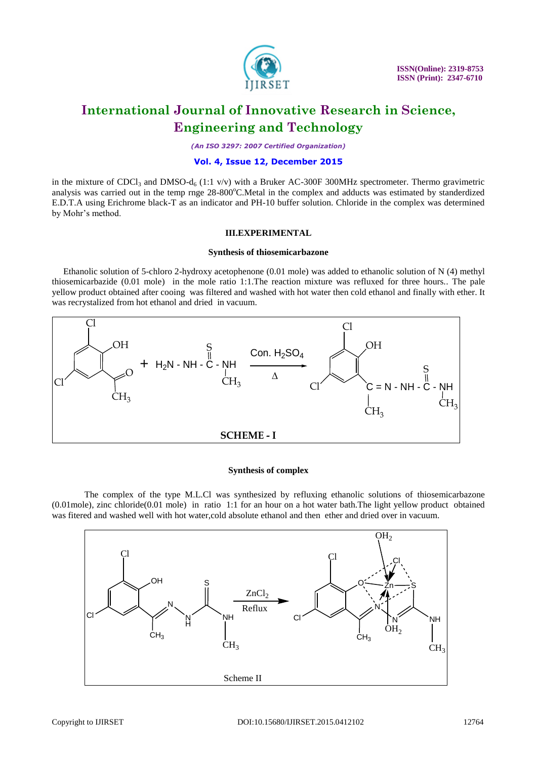

*(An ISO 3297: 2007 Certified Organization)*

#### **Vol. 4, Issue 12, December 2015**

in the mixture of CDCl<sub>3</sub> and DMSO-d<sub>6</sub> (1:1 v/v) with a Bruker AC-300F 300MHz spectrometer. Thermo gravimetric analysis was carried out in the temp rnge 28-800°C.Metal in the complex and adducts was estimated by standerdized E.D.T.A using Erichrome black-T as an indicator and PH-10 buffer solution. Chloride in the complex was determined by Mohr's method.

#### **III.EXPERIMENTAL**

#### **Synthesis of thiosemicarbazone**

 Ethanolic solution of 5-chloro 2-hydroxy acetophenone (0.01 mole) was added to ethanolic solution of N (4) methyl thiosemicarbazide (0.01 mole) in the mole ratio 1:1.The reaction mixture was refluxed for three hours.. The pale yellow product obtained after cooing was filtered and washed with hot water then cold ethanol and finally with ether. It was recrystalized from hot ethanol and dried in vacuum.



#### **Synthesis of complex**

The complex of the type M.L.Cl was synthesized by refluxing ethanolic solutions of thiosemicarbazone (0.01mole), zinc chloride(0.01 mole) in ratio 1:1 for an hour on a hot water bath.The light yellow product obtained was fitered and washed well with hot water,cold absolute ethanol and then ether and dried over in vacuum.

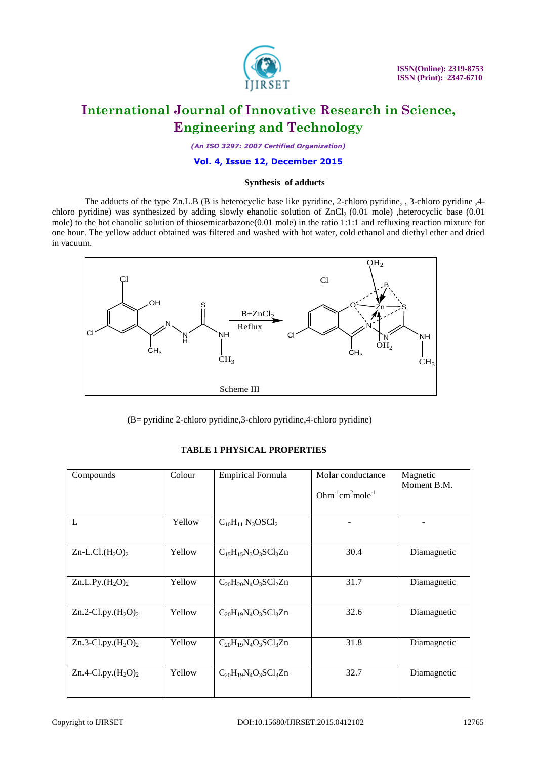

*(An ISO 3297: 2007 Certified Organization)*

#### **Vol. 4, Issue 12, December 2015**

#### **Synthesis of adducts**

The adducts of the type Zn.L.B (B is heterocyclic base like pyridine, 2-chloro pyridine, , 3-chloro pyridine ,4 chloro pyridine) was synthesized by adding slowly ehanolic solution of  $ZnCl<sub>2</sub>$  (0.01 mole) ,heterocyclic base (0.01 mole) to the hot ehanolic solution of thiosemicarbazone(0.01 mole) in the ratio 1:1:1 and refluxing reaction mixture for one hour. The yellow adduct obtained was filtered and washed with hot water, cold ethanol and diethyl ether and dried in vacuum.



 **(**B= pyridine 2-chloro pyridine,3-chloro pyridine,4-chloro pyridine)

| Compounds              | Colour | <b>Empirical Formula</b>                        | Molar conductance  | Magnetic<br>Moment B.M. |  |
|------------------------|--------|-------------------------------------------------|--------------------|-------------------------|--|
|                        |        |                                                 | $Ohm-1 cm2 mole-1$ |                         |  |
|                        |        |                                                 |                    |                         |  |
| L                      | Yellow | $C_{10}H_{11}$ N <sub>3</sub> OSCl <sub>2</sub> |                    |                         |  |
|                        |        |                                                 |                    |                         |  |
| $Zn$ -L.Cl. $(H_2O)_2$ | Yellow | $C_{15}H_{15}N_3O_3SCl_3Zn$                     | 30.4               | Diamagnetic             |  |
|                        |        |                                                 |                    |                         |  |
| Zn.L.Py. $(H_2O)_2$    | Yellow | $C_{20}H_{20}N_4O_3SCl_2Zn$                     | 31.7               | Diamagnetic             |  |
|                        |        |                                                 |                    |                         |  |
| Zn.2-Cl.py. $(H_2O)_2$ | Yellow | $C_{20}H_{19}N_4O_3SCl_3Zn$                     | 32.6               | Diamagnetic             |  |
|                        |        |                                                 |                    |                         |  |
| Zn.3-Cl.py. $(H_2O)_2$ | Yellow | $C_{20}H_{19}N_4O_3SCl_3Zn$                     | 31.8               | Diamagnetic             |  |
|                        |        |                                                 |                    |                         |  |
| Zn.4-Cl.py. $(H_2O)_2$ | Yellow | $C_{20}H_{19}N_4O_3SCl_3Zn$                     | 32.7               | Diamagnetic             |  |
|                        |        |                                                 |                    |                         |  |

#### **TABLE 1 PHYSICAL PROPERTIES**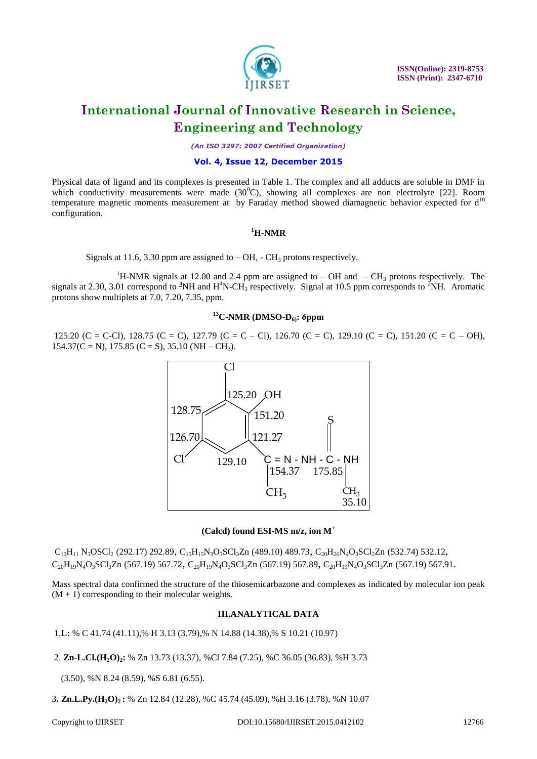

*(An ISO 3297: 2007 Certified Organization)*

#### **Vol. 4, Issue 12, December 2015**

Physical data of ligand and its complexes is presented in Table 1. The complex and all adducts are soluble in DMF in which conductivity measurements were made  $(30^{\circ}C)$ , showing all complexes are non electrolyte [22]. Room temperature magnetic moments measurement at by Faraday method showed diamagnetic behavior expected for  $d^{10}$ configuration.

### **<sup>1</sup>H-NMR**

Signals at 11.6, 3.30 ppm are assigned to  $-$  OH,  $-$  CH<sub>3</sub> protons respectively.

<sup>1</sup>H-NMR signals at 12.00 and 2.4 ppm are assigned to – OH and – CH<sub>3</sub> protons respectively. The signals at 2.30, 3.01 correspond to  ${}^{4}NH$  and  $H^{4}N$ -CH<sub>3</sub> respectively. Signal at 10.5 ppm corresponds to  ${}^{2}NH$ . Aromatic protons show multiplets at 7.0, 7.20, 7.35, ppm.

### **<sup>13</sup>C-NMR (DMSO-D6): δppm**

125.20 (C = C-Cl), 128.75 (C = C), 127.79 (C = C – Cl), 126.70 (C = C), 129.10 (C = C), 151.20 (C = C – OH),  $154.37(C = N)$ , 175.85 (C = S), 35.10 (NH – CH<sub>3</sub>).



#### **(Calcd) found ESI-MS m/z, ion M<sup>+</sup>**

 $C_{10}H_{11}$  N<sub>3</sub>OSCl<sub>2</sub> (292.17) 292.89,  $C_{15}H_{15}N_3O_3SU_3Zn$  (489.10) 489.73,  $C_{20}H_{20}N_4O_3SU_2Zn$  (532.74) 532.12,  $C_{20}H_{19}N_4O_3SCl_3Zn$  (567.19) 567.72,  $C_{20}H_{19}N_4O_3SCl_3Zn$  (567.19) 567.89,  $C_{20}H_{19}N_4O_3SCl_3Zn$  (567.19) 567.91.

Mass spectral data confirmed the structure of the thiosemicarbazone and complexes as indicated by molecular ion peak  $(M + 1)$  corresponding to their molecular weights.

#### **III.ANALYTICAL DATA**

1.**L:** % C 41.74 (41.11),% H 3.13 (3.79),% N 14.88 (14.38),% S 10.21 (10.97)

2. **Zn-L.Cl.(H2O)2:** % Zn 13.73 (13.37), %Cl 7.84 (7.25), %C 36.05 (36.83), %H 3.73

(3.50), %N 8.24 (8.59), %S 6.81 (6.55).

3**. Zn.L.Py.(H2O)2 :** % Zn 12.84 (12.28), %C 45.74 (45.09), %H 3.16 (3.78), %N 10.07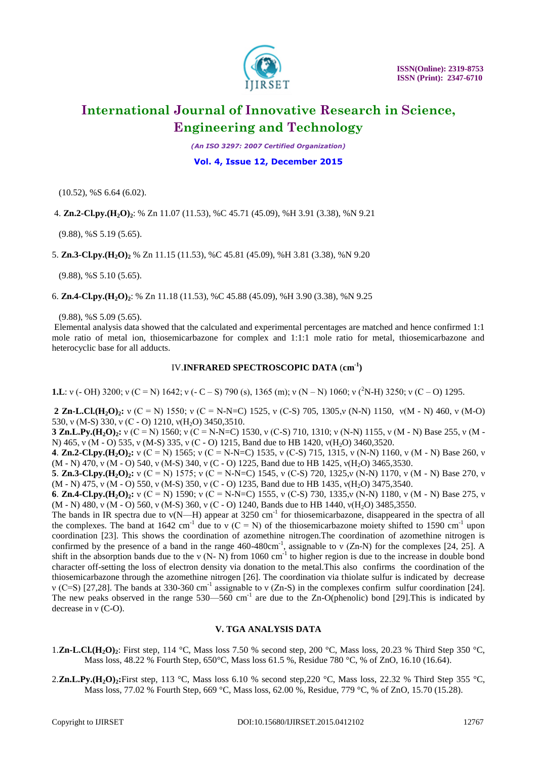

*(An ISO 3297: 2007 Certified Organization)*

#### **Vol. 4, Issue 12, December 2015**

(10.52), %S 6.64 (6.02).

4. **Zn.2-Cl.py.(H2O)2**: % Zn 11.07 (11.53), %C 45.71 (45.09), %H 3.91 (3.38), %N 9.21

(9.88), %S 5.19 (5.65).

5. **Zn.3-Cl.py.(H2O)<sup>2</sup>** % Zn 11.15 (11.53), %C 45.81 (45.09), %H 3.81 (3.38), %N 9.20

(9.88), %S 5.10 (5.65).

6. **Zn.4-Cl.py.(H2O)2**: % Zn 11.18 (11.53), %C 45.88 (45.09), %H 3.90 (3.38), %N 9.25

(9.88), %S 5.09 (5.65).

Elemental analysis data showed that the calculated and experimental percentages are matched and hence confirmed 1:1 mole ratio of metal ion, thiosemicarbazone for complex and 1:1:1 mole ratio for metal, thiosemicarbazone and heterocyclic base for all adducts.

#### IV.**INFRARED SPECTROSCOPIC DATA** (**cm-1 )**

**1.L**: ν (- OH) 3200; ν (C = N) 1642; ν (- C – S) 790 (s), 1365 (m); ν (N – N) 1060; ν (<sup>2</sup>N-H) 3250; ν (C – O) 1295.

**2 Zn-L.Cl.(H2O)2:** ν (C = N) 1550; ν (C = N-N=C) 1525, ν (C-S) 705, 1305,ν (N-N) 1150, ν(M - N) 460, ν (M-O) 530, ν (M-S) 330, ν (C - O) 1210, ν (H<sub>2</sub>O) 3450, 3510.

**3 Zn.L.Py.(H2O)2:** ν (C = N) 1560; ν (C = N-N=C) 1530, ν (C-S) 710, 1310; ν (N-N) 1155, ν (M - N) Base 255, ν (M - N) 465, v (M - O) 535, v (M-S) 335, v (C - O) 1215, Band due to HB 1420, v(H<sub>2</sub>O) 3460,3520.

**4**. **Zn.2-Cl.py.(H2O)2:** ν (C = N) 1565; ν (C = N-N=C) 1535, ν (C-S) 715, 1315, ν (N-N) 1160, ν (M - N) Base 260, ν (M - N) 470, ν (M - O) 540, ν (M-S) 340, ν (C - O) 1225, Band due to HB 1425, ν (H<sub>2</sub>O) 3465,3530.

**5**. **Zn.3-Cl.py.(H2O)2:** ν (C = N) 1575; ν (C = N-N=C) 1545, ν (C-S) 720, 1325,ν (N-N) 1170, ν (M - N) Base 270, ν  $(M - N)$  475, v  $(M - O)$  550, v  $(M-S)$  350, v  $(C - O)$  1235, Band due to HB 1435, v(H<sub>2</sub>O) 3475,3540.

**6**. **Zn.4-Cl.py.(H2O)2:** ν (C = N) 1590; ν (C = N-N=C) 1555, ν (C-S) 730, 1335,ν (N-N) 1180, ν (M - N) Base 275, ν (M - N) 480, v (M - O) 560, v (M-S) 360, v (C - O) 1240, Bands due to HB 1440, v(H<sub>2</sub>O) 3485,3550.

The bands in IR spectra due to  $v(N-H)$  appear at 3250 cm<sup>-1</sup> for thiosemicarbazone, disappeared in the spectra of all the complexes. The band at 1642 cm<sup>-1</sup> due to v (C = N) of the thiosemicarbazone moiety shifted to 1590 cm<sup>-1</sup> upon coordination [23]. This shows the coordination of azomethine nitrogen.The coordination of azomethine nitrogen is confirmed by the presence of a band in the range  $460-480 \text{cm}^{-1}$ , assignable to v (Zn-N) for the complexes [24, 25]. A shift in the absorption bands due to the v (N- N) from 1060 cm<sup>-1</sup> to higher region is due to the increase in double bond character off-setting the loss of electron density via donation to the metal.This also confirms the coordination of the thiosemicarbazone through the azomethine nitrogen [26]. The coordination via thiolate sulfur is indicated by decrease v (C=S) [27,28]. The bands at 330-360 cm<sup>-1</sup> assignable to v (Zn-S) in the complexes confirm sulfur coordination [24]. The new peaks observed in the range  $530-560$  cm<sup>-1</sup> are due to the Zn-O(phenolic) bond [29]. This is indicated by decrease in ν (C-O).

### **V. TGA ANALYSIS DATA**

- 1.**Zn-L.Cl.(H2O)2**: First step, 114 °C, Mass loss 7.50 % second step, 200 °C, Mass loss, 20.23 % Third Step 350 °C, Mass loss, 48.22 % Fourth Step, 650°C, Mass loss 61.5 %, Residue 780 °C, % of ZnO, 16.10 (16.64).
- 2. **Zn.L.Py.(H<sub>2</sub>O**)<sub>2</sub>: First step, 113 °C, Mass loss 6.10 % second step,220 °C, Mass loss, 22.32 % Third Step 355 °C, Mass loss, 77.02 % Fourth Step, 669 °C, Mass loss, 62.00 %, Residue, 779 °C, % of ZnO, 15.70 (15.28).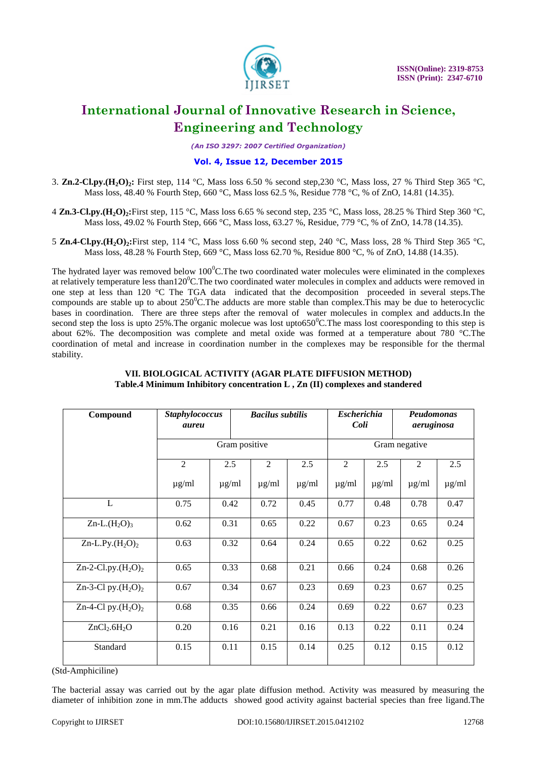

*(An ISO 3297: 2007 Certified Organization)*

### **Vol. 4, Issue 12, December 2015**

- 3. **Zn.2-Cl.py.(H2O)2:** First step, 114 °C, Mass loss 6.50 % second step,230 °C, Mass loss, 27 % Third Step 365 °C, Mass loss, 48.40 % Fourth Step, 660 °C, Mass loss 62.5 %, Residue 778 °C, % of ZnO, 14.81 (14.35).
- 4 **Zn.3-Cl.py.(H2O)2:**First step, 115 °C, Mass loss 6.65 % second step, 235 °C, Mass loss, 28.25 % Third Step 360 °C, Mass loss, 49.02 % Fourth Step, 666 °C, Mass loss, 63.27 %, Residue, 779 °C, % of ZnO, 14.78 (14.35).
- 5 **Zn.4-Cl.py.(H2O)2:**First step, 114 °C, Mass loss 6.60 % second step, 240 °C, Mass loss, 28 % Third Step 365 °C, Mass loss, 48.28 % Fourth Step, 669 °C, Mass loss 62.70 %, Residue 800 °C, % of ZnO, 14.88 (14.35).

The hydrated layer was removed below  $100^{\circ}$ C. The two coordinated water molecules were eliminated in the complexes at relatively temperature less than120 $^{\circ}$ C. The two coordinated water molecules in complex and adducts were removed in one step at less than 120 °C The TGA data indicated that the decomposition proceeded in several steps.The compounds are stable up to about  $250^{\circ}$ C. The adducts are more stable than complex. This may be due to heterocyclic bases in coordination. There are three steps after the removal of water molecules in complex and adducts.In the second step the loss is upto 25%. The organic molecue was lost upto650 $^{\circ}$ C. The mass lost cooresponding to this step is about 62%. The decomposition was complete and metal oxide was formed at a temperature about 780 °C.The coordination of metal and increase in coordination number in the complexes may be responsible for the thermal stability.

| Compound                             | <b>Staphylococcus</b><br>aureu |                   |               | <b>Bacilus subtilis</b> |            |                | <b>Escherichia</b><br>Coli | Peudomonas<br>aeruginosa |            |
|--------------------------------------|--------------------------------|-------------------|---------------|-------------------------|------------|----------------|----------------------------|--------------------------|------------|
|                                      |                                |                   | Gram positive | Gram negative           |            |                |                            |                          |            |
|                                      | $\overline{2}$                 | 2.5<br>$\mu$ g/ml |               | $\overline{2}$          | 2.5        | $\overline{2}$ | 2.5                        | 2                        | 2.5        |
|                                      | $\mu$ g/ml                     |                   |               | $\mu$ g/ml              | $\mu$ g/ml | $\mu$ g/ml     | $\mu$ g/ml                 | $\mu$ g/ml               | $\mu$ g/ml |
| L                                    | 0.75                           | 0.42              |               | 0.72                    | 0.45       | 0.77           | 0.48                       | 0.78                     | 0.47       |
| Zn-L. $(H_2O)_3$                     | 0.62                           | 0.31              |               | 0.65                    | 0.22       | 0.67           | 0.23                       | 0.65                     | 0.24       |
| Zn-L.Py. $(H_2O)_2$                  | 0.63                           | 0.32              |               | 0.64                    | 0.24       | 0.65           | 0.22                       | 0.62                     | 0.25       |
| Zn-2-Cl.py. $(H_2O)_2$               | 0.65                           | 0.33              |               | 0.68                    | 0.21       | 0.66           | 0.24                       | 0.68                     | 0.26       |
| Zn-3-Cl py. $(H_2O)_2$               | 0.67                           | 0.34              |               | 0.67                    | 0.23       | 0.69           | 0.23                       | 0.67                     | 0.25       |
| Zn-4-Cl py. $(H_2O)_2$               | 0.68                           | 0.35              |               | 0.66                    | 0.24       | 0.69           | 0.22                       | 0.67                     | 0.23       |
| ZnCl <sub>2</sub> .6H <sub>2</sub> O | 0.20                           | 0.16              |               | 0.21                    | 0.16       | 0.13           | 0.22                       | 0.11                     | 0.24       |
| Standard                             | 0.15                           | 0.11              |               | 0.15                    | 0.14       | 0.25           | 0.12                       | 0.15                     | 0.12       |

#### **VII. BIOLOGICAL ACTIVITY (AGAR PLATE DIFFUSION METHOD) Table.4 Minimum Inhibitory concentration L , Zn (II) complexes and standered**

(Std-Amphiciline)

The bacterial assay was carried out by the agar plate diffusion method. Activity was measured by measuring the diameter of inhibition zone in mm.The adducts showed good activity against bacterial species than free ligand.The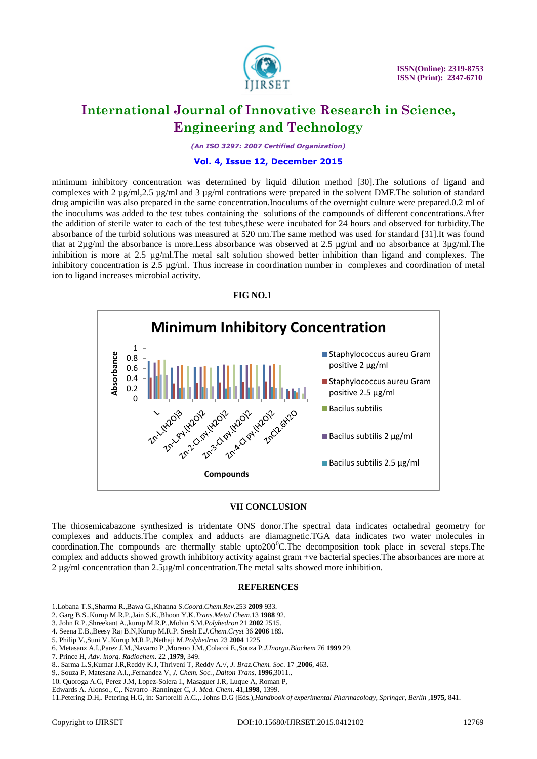

*(An ISO 3297: 2007 Certified Organization)*

#### **Vol. 4, Issue 12, December 2015**

minimum inhibitory concentration was determined by liquid dilution method [30].The solutions of ligand and complexes with 2  $\mu$ g/ml,2.5  $\mu$ g/ml and 3  $\mu$ g/ml contrations were prepared in the solvent DMF. The solution of standard drug ampicilin was also prepared in the same concentration.Inoculums of the overnight culture were prepared.0.2 ml of the inoculums was added to the test tubes containing the solutions of the compounds of different concentrations.After the addition of sterile water to each of the test tubes,these were incubated for 24 hours and observed for turbidity.The absorbance of the turbid solutions was measured at 520 nm.The same method was used for standard [31].It was found that at  $2\mu g/ml$  the absorbance is more. Less absorbance was observed at 2.5  $\mu g/ml$  and no absorbance at  $3\mu g/ml$ . The inhibition is more at 2.5 µg/ml.The metal salt solution showed better inhibition than ligand and complexes. The inhibitory concentration is 2.5  $\mu$ g/ml. Thus increase in coordination number in complexes and coordination of metal ion to ligand increases microbial activity.



#### **VII CONCLUSION**

The thiosemicabazone synthesized is tridentate ONS donor.The spectral data indicates octahedral geometry for complexes and adducts.The complex and adducts are diamagnetic.TGA data indicates two water molecules in coordination. The compounds are thermally stable upto $200^{\circ}$ C. The decomposition took place in several steps. The complex and adducts showed growth inhibitory activity against gram +ve bacterial species.The absorbances are more at 2 ug/ml concentration than 2.5ug/ml concentration. The metal salts showed more inhibition.

#### **REFERENCES**

- 1.Lobana T.S.,Sharma R.,Bawa G.,Khanna S.*Coord.Chem.Rev*.253 **2009** 933.
- 2. Garg B.S.,Kurup M.R.P.,Jain S.K.,Bhoon Y.K.*Trans.Metal Chem*.13 **1988** 92.
- 3. John R.P.,Shreekant A.,kurup M.R.P.,Mobin S.M.*Polyhedron* 21 **2002** 2515.
- 4. Seena E.B.,Beesy Raj B.N,Kurup M.R.P. Sresh E.*J.Chem.Cryst* 36 **2006** 189.
- 5. Philip V.,Suni V.,Kurup M.R.P.,Nethaji M.*Polyhedron* 23 **2004** 1225
- 6. Metasanz A.I.,Parez J.M.,Navarro P.,Moreno J.M.,Colacoi E.,Souza P.*J.Inorga.Biochem* 76 **1999** 29.
- 7. Prince H, *Adv. lnorg. Radiochem*. 22 ,**1979**, 349.
- 8.. Sarma L.S,Kumar J.R,Reddy K.J, Thriveni T, Reddy A.\/, *J. Braz.Chem. Soc*. 17 ,**2006**, 463.
- 9.. Souza P, Matesanz A.l.,.Fernandez V, *J. Chem. Soc., Dalton Trans*. **1996**,3011..
- 10. Quoroga A.G, Perez J.M, Lopez-Solera I., Masaguer J.R, Luque A, Roman P,
- Edwards A. Alonso., C,. Navarro -Ranninger C, *J. Med. Chem*. 41,**1998**, 1399.

11.Petering D.H,. Petering H.G, in: Sartorelli A.C.,. Johns D.G (Eds.),*Handbook of experimental Pharmacology, Springer, Berlin* ,**1975,** 841.